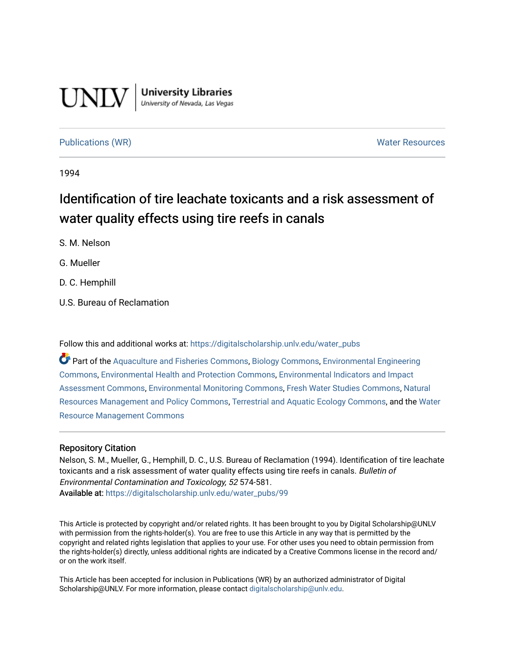# **UNLV**

**University Libraries**<br>University of Nevada, Las Vegas

# [Publications \(WR\)](https://digitalscholarship.unlv.edu/water_pubs) Notifiable Resources and Mater Resources and Mater Resources

1994

# Identification of tire leachate toxicants and a risk assessment of water quality effects using tire reefs in canals

S. M. Nelson

G. Mueller

D. C. Hemphill

U.S. Bureau of Reclamation

Follow this and additional works at: [https://digitalscholarship.unlv.edu/water\\_pubs](https://digitalscholarship.unlv.edu/water_pubs?utm_source=digitalscholarship.unlv.edu%2Fwater_pubs%2F99&utm_medium=PDF&utm_campaign=PDFCoverPages) 

Part of the [Aquaculture and Fisheries Commons](http://network.bepress.com/hgg/discipline/78?utm_source=digitalscholarship.unlv.edu%2Fwater_pubs%2F99&utm_medium=PDF&utm_campaign=PDFCoverPages), [Biology Commons](http://network.bepress.com/hgg/discipline/41?utm_source=digitalscholarship.unlv.edu%2Fwater_pubs%2F99&utm_medium=PDF&utm_campaign=PDFCoverPages), [Environmental Engineering](http://network.bepress.com/hgg/discipline/254?utm_source=digitalscholarship.unlv.edu%2Fwater_pubs%2F99&utm_medium=PDF&utm_campaign=PDFCoverPages)  [Commons](http://network.bepress.com/hgg/discipline/254?utm_source=digitalscholarship.unlv.edu%2Fwater_pubs%2F99&utm_medium=PDF&utm_campaign=PDFCoverPages), [Environmental Health and Protection Commons,](http://network.bepress.com/hgg/discipline/172?utm_source=digitalscholarship.unlv.edu%2Fwater_pubs%2F99&utm_medium=PDF&utm_campaign=PDFCoverPages) [Environmental Indicators and Impact](http://network.bepress.com/hgg/discipline/1015?utm_source=digitalscholarship.unlv.edu%2Fwater_pubs%2F99&utm_medium=PDF&utm_campaign=PDFCoverPages)  [Assessment Commons,](http://network.bepress.com/hgg/discipline/1015?utm_source=digitalscholarship.unlv.edu%2Fwater_pubs%2F99&utm_medium=PDF&utm_campaign=PDFCoverPages) [Environmental Monitoring Commons](http://network.bepress.com/hgg/discipline/931?utm_source=digitalscholarship.unlv.edu%2Fwater_pubs%2F99&utm_medium=PDF&utm_campaign=PDFCoverPages), [Fresh Water Studies Commons](http://network.bepress.com/hgg/discipline/189?utm_source=digitalscholarship.unlv.edu%2Fwater_pubs%2F99&utm_medium=PDF&utm_campaign=PDFCoverPages), [Natural](http://network.bepress.com/hgg/discipline/170?utm_source=digitalscholarship.unlv.edu%2Fwater_pubs%2F99&utm_medium=PDF&utm_campaign=PDFCoverPages) [Resources Management and Policy Commons](http://network.bepress.com/hgg/discipline/170?utm_source=digitalscholarship.unlv.edu%2Fwater_pubs%2F99&utm_medium=PDF&utm_campaign=PDFCoverPages), [Terrestrial and Aquatic Ecology Commons](http://network.bepress.com/hgg/discipline/20?utm_source=digitalscholarship.unlv.edu%2Fwater_pubs%2F99&utm_medium=PDF&utm_campaign=PDFCoverPages), and the [Water](http://network.bepress.com/hgg/discipline/1057?utm_source=digitalscholarship.unlv.edu%2Fwater_pubs%2F99&utm_medium=PDF&utm_campaign=PDFCoverPages) [Resource Management Commons](http://network.bepress.com/hgg/discipline/1057?utm_source=digitalscholarship.unlv.edu%2Fwater_pubs%2F99&utm_medium=PDF&utm_campaign=PDFCoverPages) 

## Repository Citation

Nelson, S. M., Mueller, G., Hemphill, D. C., U.S. Bureau of Reclamation (1994). Identification of tire leachate toxicants and a risk assessment of water quality effects using tire reefs in canals. Bulletin of Environmental Contamination and Toxicology, 52 574-581. Available at: [https://digitalscholarship.unlv.edu/water\\_pubs/99](https://digitalscholarship.unlv.edu/water_pubs/99) 

This Article is protected by copyright and/or related rights. It has been brought to you by Digital Scholarship@UNLV with permission from the rights-holder(s). You are free to use this Article in any way that is permitted by the copyright and related rights legislation that applies to your use. For other uses you need to obtain permission from the rights-holder(s) directly, unless additional rights are indicated by a Creative Commons license in the record and/ or on the work itself.

This Article has been accepted for inclusion in Publications (WR) by an authorized administrator of Digital Scholarship@UNLV. For more information, please contact [digitalscholarship@unlv.edu.](mailto:digitalscholarship@unlv.edu)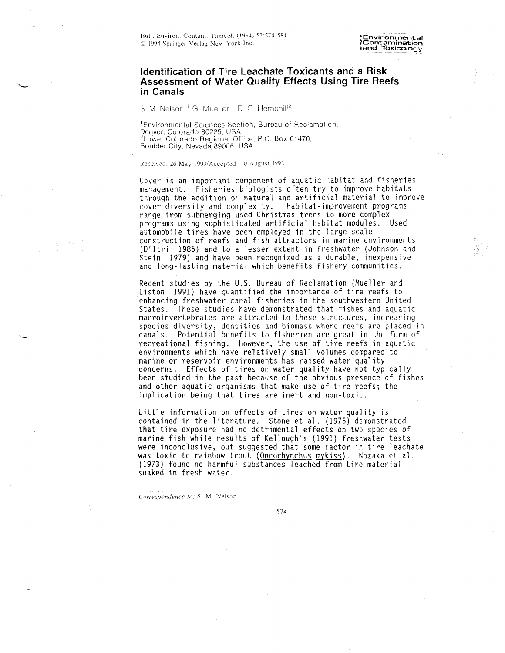**,2 and Toxicology**

### **Identification of Tire Leachate Toxicants and a Risk Assessment of Water Quality Effects Using Tire Reefs in Canals**

S. M. Nelson,<sup>1</sup> G. Mueller,<sup>1</sup> D. C. Hemphill<sup>2</sup>

'Environmental Sciences Section, Bureau of Reclamation, Denver, Colorado 80225. USA <sup>2</sup>Lower Colorado Regional Office, P.O. Box 61470, Boulder City, Nevada 89006, USA

#### Received: 26 May 1993/Accepted: 10 August 1993

Cover is an important component of aquatic habitat and fisheries management. Fisheries biologists often try to improve habitats through the addition of natural and artificial material to improve cover diversity and complexity. Habitat-improvement programs range from submerging used Christmas trees to more complex programs using sophisticated artificial habitat modules. Used automobile tires have been employed in the large scale construction of reefs and fish attractors in marine environments (D'ltri 1985) and to a lesser extent in freshwater (Johnson and Stein 1979) and have been recognized as a durable, inexpensive and long-lasting material which benefits fishery communities.

Recent studies by the U.S. Bureau of Reclamation (Mueller and Liston 1991) have quantified the importance of tire reefs to enhancing freshwater canal fisheries in the southwestern United States. These studies have demonstrated that fishes and aquatic macroinvertebrates are attracted to these structures, increasing species diversity, densities and biomass where reefs are placed in canals. Potential benefits to fishermen are great in the form of recreational fishing. However, the use of tire reefs in aquatic environments which have relatively small volumes compared to marine or reservoir environments has raised water quality concerns. Effects of tires on water quality have not typically been studied in the past because of the obvious presence of fishes and other aquatic organisms that make use of tire reefs; the implication being that tires are inert and non-toxic.

Little information on effects of tires on water quality is contained in the literature. Stone et al. (1975) demonstrated that tire exposure had no detrimental effects on two species of marine fish while results of Kellough's (1991) freshwater tests were inconclusive, but suggested that some factor in tire leachate was toxic to rainbow trout (Oncorhynchus mykiss). Nozaka et al. (1973) found no harmful substances leached from tire material soaked in fresh water.

*Correspondence to:* S. M. Nelson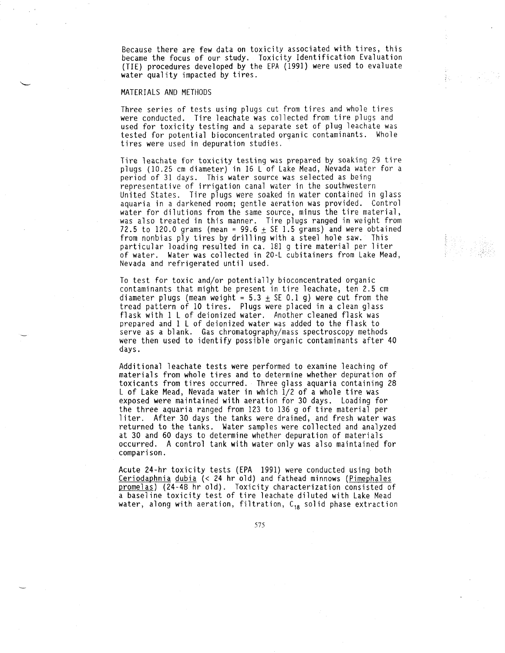Because there are fe w data on toxicit y associated with tires, this became the focus of our study. Toxicit y Identification Evaluation TIE) procedures developed by the EPA (1991) were used to evaluate water qualit y impacted b y tires.

#### MATERIALS AND METHODS

Three series of tests using plugs cut fro m tires and whole tires were conducted. Tire leachate was collected fro m tire plugs and used for toxicit y testing and a separate set of plug leachate was tested for potential bioconcentrated organic contaminants. Whole tires were used in depuration studies.

Tire leachate for toxicit y testing was prepared b y soaking 29 tire plugs (10.25 c m diameter) in 16 L of Lake Mead, Nevada water for a period of 31 days. This water source was selected as being representative of irrigation canal water in the southwestern United States. Tire plugs were soaked in water contained in glass aquaria in a darkened room; gentle aeration was provided. Control water for dilutions fro m the same source, minus the tire material, was also treated in this manner. Tire plugs ranged in weight fro m 72.5 to 120.0 grams (mean = 99.6  $\pm$  SE 1.5 grams) and were obtained fro m nonbias pl y tires b y drilling with a steel hole saw. This particular loading resulted in ca. 181 g tire material per liter of water. Water was collected in 20-L cubitainers fro m Lake Mead, Nevada and refrigerated until used.

To test for toxic and/or potentiall y bioconcentrated organic contaminants that might be present in tire leachate, ten 2.5 c m diameter plugs (mean weight = 5.3  $\pm$  SE 0.1 g) were cut from the tread pattern of 10 tires. Plugs were placed in a clean glass flask with 1 L of deionized water. Another cleaned flask was prepared and 1 L of deionized water was added to the flask to serve as a blank. Gas chromatography/mass spectroscopy methods were then used to identif y possible organic contaminants after 40 days.

Additional leachate tests were performed to examine leaching of materials fro m whole tires and to determine whether depuration of toxicants fro m tires occurred. Three glass aquaria containing 28 L of Lake Mead, Nevada water i n which 1/2 of a whole tire was exposed were maintained with aeration for 30 days. Loading for the three aquaria ranged fro m 123 to 136 g of tire material per liter. After 30 days the tanks were drained, an d fresh water was returned to the tanks. Water samples were collected and analyzed at 30 an d 60 days to determine whether depuration of materials occurred. A control tank with water onl y was also maintained for comparison.

Acute 24-hr toxicit y tests (EP A 1991) were conducted using both Ceriodaphnia dubia (< 24 hr old) and fathead minnows (Pimephales promelas) (24–48 hr old). Toxicity characterization consisted of a baseline toxicit y test of tire leachate diluted with Lake Mead water, along with aeration, filtration,  $C_{18}$  solid phase extraction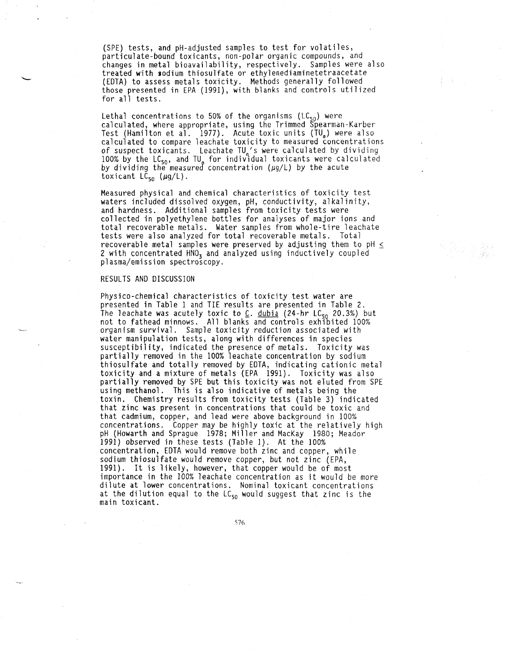(SPE) tests, an d pH-adjusted samples to test for volatiles, particulate-bound toxicants, non-polar organic compounds, and changes in metal bioavailability, respectively. Samples were also treated with sodiu m thiosulfate or ethylenediaminetetraacetate EDTA) to assess metals toxicity. Methods generally followed those presented in EP A (1991), with blanks and controls utilized for all tests.

Lethal concentrations to 50% of the organisms (LC $_{50}$ ) were calculated, where appropriate, using the Trimmed Spearman-Karber Test (Hamilton et al. 1977). Acute toxic units (TU<sub>s</sub>) were also calculated to compare leachate toxicit y to measured concentrations of suspect toxicants. Leachate TU<sub>a</sub>'s were calculated by dividing 100% by the LC<sub>sn</sub>, and TU<sub>e</sub> for individual toxicants were calculated by dividing the measured concentration (µg/L) by the acute toxicant  $LC_{50}$  ( $\mu$ g/L).

Measured physical and chemical characteristics of toxicity test waters included dissolved oxygen, pH, conductivity, alkalinity, and hardness. Additional samples from toxicity tests were collected i n polyethylene bottles for analyses of major ions and total recoverable metals. Water samples fro m whole-tire leachate tests were also analyzed for total recoverable metals. Total recoverable metal samples were preserved by adjusting them to pH  $\le$ 2 with concentrated  $HNO<sub>3</sub>$  and analyzed using inductively coupled plasma/emission spectroscopy.

#### RESULTS AND DISCUSSIO N

Physico-chemical characteristics of toxicit y test water are presented in Table 1 and TIE results are presented in Table 2. The leachate was acutely toxic to <u>C</u>. <u>dubia</u> (24-hr LC<sub>50</sub> 20.3%) but not to fathead minnows. All blanks and controls exhibited 100% organis m survival. Sample toxicit y reduction associated with water manipulation tests, along with differences in species susceptibility, indicated the presence of metals. Toxicity was partiall y removed in the 100% leachate concentration b y sodiu m thiosulfate and totall y removed b y EDTA, indicating cationic metal toxicity and a mixture of metals (EPA 1991). Toxicity was also partiall y removed b y SPE but this toxicit y was not eluted fro m SPE using methanol. This is also indicative of metals being the toxin. Chemistr y results fro m toxicit y tests (Table 3) indicated that zinc was present in concentrations that could be toxic and that cadmium, copper, and lead were above background in 100% concentrations. Copper may be highly toxic at the relatively high pH (Howart h an d Sprague 1978; Miller an d MacKa y 1980; Meador 1991) observed i n these tests (Table 1). At the 100% concentration, EDT A would remove both zinc and copper, while sodiu m thiosulfate would remove copper, but not zinc (EPA, 1991). It is likely, however, that copper would be of most importance in the 100% leachate concentration as it would be more dilute at lower concentrations. Nominal toxicant concentrations at the dilution equal to the  $LC_{50}$  would suggest that zinc is the main toxicant.

.576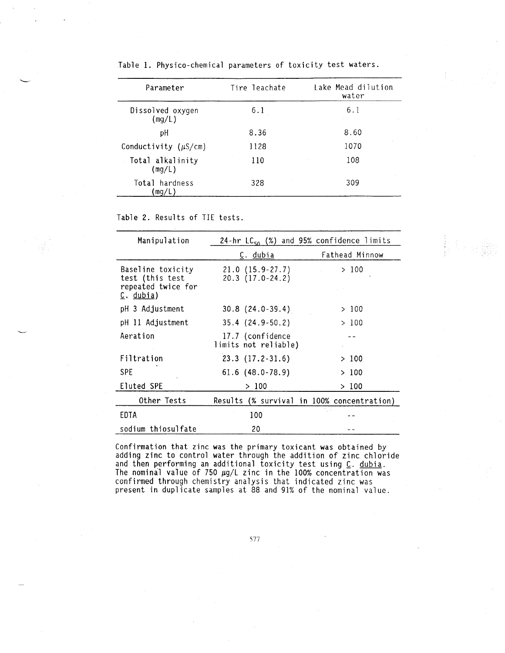| Parameter                  | Tire leachate | Lake Mead dilution<br>water |  |
|----------------------------|---------------|-----------------------------|--|
| Dissolved oxygen<br>(mg/L) | 6.1           | 6.1                         |  |
| рH                         | 8.36          | 8.60                        |  |
| Conductivity $(\mu S/cm)$  | 1128          | 1070                        |  |
| Total alkalinity<br>(mg/L) | 110           | 108                         |  |
| Total hardness<br>mq/L     | 328           | 309                         |  |
|                            |               |                             |  |

Table 1. Physico-chemical parameters of toxicity test waters.

Table 2. Results of TIE tests.

| Manipulation                                                            | 24-hr $LC_{50}$ (%) and 95% confidence limits |                |  |
|-------------------------------------------------------------------------|-----------------------------------------------|----------------|--|
|                                                                         | <u>C. dubia</u>                               | Fathead Minnow |  |
| Baseline toxicity<br>test (this test<br>repeated twice for<br>C. dubia) | $21.0(15.9-27.7)$<br>20.3 (17.0-24.2)         | >100           |  |
| pH 3 Adjustment                                                         | $30.8(24.0-39.4)$                             | >100           |  |
| pH 11 Adjustment                                                        | $35.4(24.9-50.2)$                             | >100           |  |
| Aeration                                                                | 17.7 (confidence<br>limits not reliable)      |                |  |
| Filtration                                                              | $23.3$ $(17.2-31.6)$                          | > 100          |  |
| <b>SPE</b>                                                              | $61.6$ $(48.0 - 78.9)$                        | >100           |  |
| Eluted SPE                                                              | >100                                          | >100           |  |
| Other Tests                                                             | Results (% survival in 100% concentration)    |                |  |
| EDTA                                                                    | 100                                           |                |  |
| sodium thiosulfate                                                      | 20                                            |                |  |

**相** 

Confirmation that zinc was the primary toxicant was obtained by adding zinc to control water through the addition of zinc chloride and then performing an additional toxicity test using <u>C</u>. <u>dubia</u>. The nominal value of 750  $\mu$ g/L zinc in the 100% concentration was confirmed through chemistry analysis that indicated zinc was present in duplicate samples at 88 and 91% of the nominal value.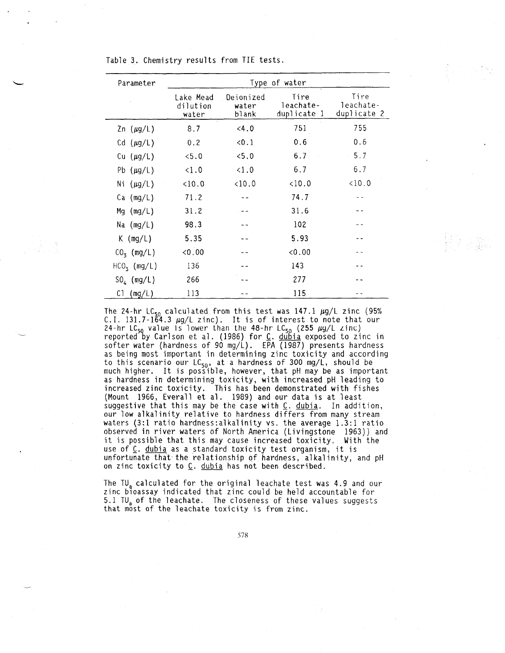Table 3. Chemistry results from TIE tests.

| Parameter      | Type of water                  |                             |                                  |                                  |  |
|----------------|--------------------------------|-----------------------------|----------------------------------|----------------------------------|--|
|                | Lake Mead<br>dilution<br>water | Dejonized<br>water<br>blank | Tire<br>leachate-<br>duplicate 1 | Tire<br>leachate-<br>duplicate 2 |  |
| $2n (\mu g/L)$ | 8.7                            | 4.0                         | 751                              | 755                              |  |
| Cd $(\mu g/L)$ | 0.2                            | 0.1                         | 0.6                              | 0.6                              |  |
| Cu $(\mu g/L)$ | 5.0                            | 5.0                         | 6.7                              | 5.7                              |  |
| Pb $(\mu g/L)$ | < 1.0                          | < 1.0                       | 6.7                              | 6.7                              |  |
| Ni $(\mu g/L)$ | 10.0                           | $10.0$                      | < 10.0                           | < 10.0                           |  |
| $Ca \ (mg/L)$  | 71.2                           |                             | 74.7                             |                                  |  |
| $Mg$ (mg/L)    | 31.2                           |                             | 31.6                             |                                  |  |
| Na (mg/L)      | 98.3                           |                             | 102                              |                                  |  |
| $K$ (mg/L)     | 5.35                           |                             | 5.93                             |                                  |  |
| $CO3$ (mg/L)   | 0.00                           |                             | 0.00                             |                                  |  |
| $HCOx$ (mg/L)  | 136                            |                             | 143                              |                                  |  |
| $SO_4$ (mg/L)  | 266                            |                             | 277                              |                                  |  |
| C1<br>(mg/L)   | 113                            |                             | 115                              |                                  |  |

The 24-hr LC<sub>50</sub> calculated from this test was  $147.1 \mu g/L$  zinc (95%) C.I. 131.7–1 $\tilde{6}4.3$   $\mu$ q/L zinc). It is of interest to note that our 24-hr LC<sub>50</sub> value is lower than the 48-hr LC<sub>50</sub> (255  $\mu$ g/L zinc) reported by Carlson et al. (1986) for <u>C</u>. <u>dubia</u> exposed to zinc in softer water (hardness of 90 mg/L). EPA  $(1987)$  presents hardness as being most important in determining zinc toxicity and according to this scenario our LC $_{50}$ , at a hardness of 300 mg/L, should be much higher. It is possible, however, that pH may be as important as hardness in determining toxicity, with increased pH leading to increased zinc toxicity. This has been demonstrated with fishes (Mount 1966, Everall et al. 1989) and our data is at least suggestive that this may be the case with  $C$ . dubia. In addition, our low alkalinity relative to hardness differs from many stream waters (3:1 ratio hardness: alkalinity vs. the average 1.3:1 ratio observed in river waters of North America (Livingstone 1963)) and it is possible that this may cause increased toxicity. With the use of C. dubia as a standard toxicity test organism, it is unfortunate that the relationship of hardness, alkalinity, and pH on zinc toxicity to  $C$ . dubia has not been described.

The TU<sub>a</sub> calculated for the original leachate test was 4.9 and our zinc bioassay indicated that zinc could be held accountable for 5.1 TU<sub>a</sub> of the leachate. The closeness of these values suggests that most of the leachate toxicity is from zinc.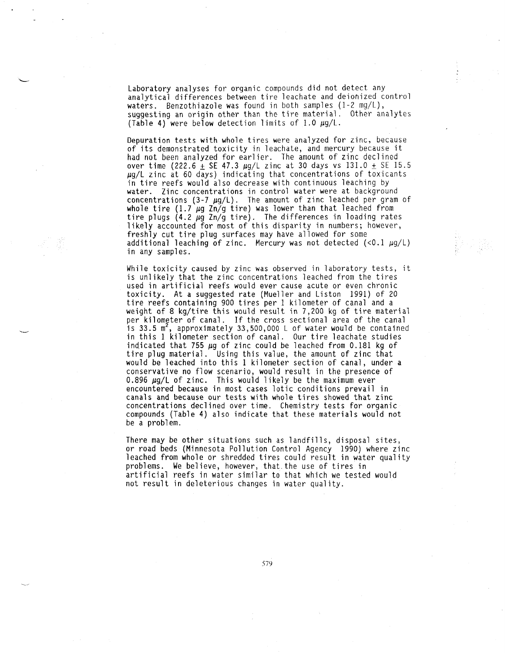Laboratory analyses for organic compounds did not detect any analytical differences between tire leachate and deionized control waters. Benzothiazole was found in both samples (1-2 mg/L), suggesting an origin other than the tire material. Other analytes (Table 4) were below detection limits of 1.0  $\mu$ g/L.

Depuration tests with whole tires were analyzed for zinc, because of its demonstrated toxicity in leachate, and mercury because it had not been analyzed for earlier. The amount of zinc declined over time (222.6  $\pm$  SE 47.3  $\mu$ g/L zinc at 30 days vs 131.0  $\pm$  SE 15.5  $\mu$ g/L zinc at 60 days) indicating that concentrations of toxicants in tire reefs would also decrease with continuous leaching by water. Zinc concentrations in control water were at background concentrations (3-7  $\mu$ g/L). The amount of zinc leached per gram of whole tire (1.7  $\mu$ g Zn/g tire) was lower than that leached from tire plugs (4.2  $\mu$ g Zn/g tire). The differences in loading rates likely accounted for most of this disparity in numbers; however, freshly cut tire plug surfaces may have allowed for some additional leaching of zinc. Mercury was not detected  $($ <0.1  $\mu$ g/L) in any samples.

While toxicity caused by zinc was observed in laboratory tests, it is unlikely that the zinc concentrations leached from the tires used in artificial reefs would ever cause acute or even chronic toxicity. At a suggested rate (Mueller and Liston 1991) of 20 tire reefs containing 900 tires per 1 kilometer of canal and a weight of 8 kg/tire this would result in 7,200 kg of tire material per kilometer of canal. If the cross sectional area of the canal is 33.5 m<sup>2</sup>, approximately 33,500,000 L of water would be contained in this 1 kilometer section of canal. Our tire leachate studies indicated that 755  $\mu$ g of zinc could be leached from 0.181 kg of tire plug material. Using this value, the amount of zinc that would be leached into this 1 kilometer section of canal, under a conservative no flow scenario, would result in the presence of 0.896  $\mu$ g/L of zinc. This would likely be the maximum ever encountered because in most cases lotic conditions prevail in canals and because our tests with whole tires showed that zinc concentrations declined over time. Chemistry tests for organic compounds (Table 4) also indicate that these materials would not be a problem.

There may be other situations such as landfills, disposal sites, or road beds (Minnesota Pollution Control Agency 1990) where zinc leached from whole or shredded tires could result in water quality problems. We believe, however, that, the use of tires in artificial reefs in water similar to that which we tested would not result in deleterious changes in water quality.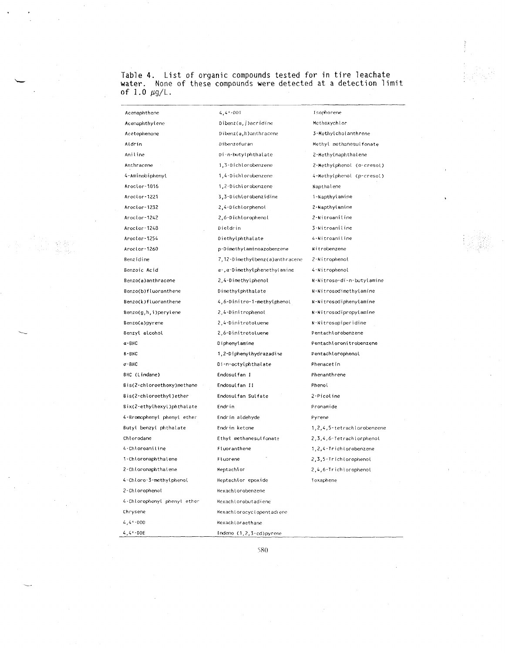Table 4. List of organic compounds tested for in tire leachate water. None of these compounds were detected at a detection limit of  $1.0 \mu g/L$ .

 $4,41 - 001$ Acenaphthene Isophorene **Acenaphthylene** Dibenz(a,j)acridine **Methoxych Lor** Dibenz(a,h)anthracene 3-Methylcholanthrene Acetophenone **Aldrin** Dibenzofuran Methyl methanesulfonate An iI i ne Di-n-butylphthalat <sup>e</sup> 2-Methy[naphtha Iene Anthracene 1,3-0 ichlorobenzene 2-Hethylphenol (o-cresol) 4-Aminobiphenyl 1,4-D i chlorobcnzcne 4-Methy(phenol (p-cresol) Aroclor-1016 1,2-Dichlorobenzene Napthalene Aroctor-1221 3,3-0 ichlorobenzidine 1-Kapthylamine **Aroclor-1232** 2,A-Dichlorphenol 2-Wapthylamine Aroclor-1242 2,6-D i chIorophenoI **2-N i troani f. ine** 3-NitroaniIine Aroclor-1248 Dieldrin Aroclor-1254 4-Nitroaniline Diethylphthalate Aroclor-1260 p-Dimethylaminoazobenzene W i trobenzene Benzidine 7,12-0imethylbenz(a)anthracene 2-Nitrophenol Benzoic Acid  $\alpha$ -, $\alpha$ -Dimethylphenethylamine 4 -Hitrophenot 8enzo(a)anthracene 2,4-0 imethylphenol W-Nitroso-di-n-butylamine Benzo(b)ftuoranthene Dimethylphthalate N-Nitrosodimethylamine Benzo(k)fluoranthene 4,6-Dini tro-1-methyI phenol N -N i trosodiphenylamine Benzo(g,h,1)perylene 2,4-Dini trophenot N-Nitrosodipropylamine **Benio(a)pyrene** 2,4-Dinitrotoluene N-Nitrosopiperi dine Benzyl alcohol **2,6-Dinitrotoluene** Pentachlorobenzene a-BHC **0tphenylamine** Pentachloroni trobenzene B-BHC **1,2-Diphenylhydrazadine PentachlorophenoI Oi-n-octylphthai ate**  $\sigma$ -BHC **Phenacetin BHC (Lindane) Endosulfan I** Phenanthrene **8is(2-chloroethoxy)methane Endosulfan II** Phenot **8is(2-chloroethyl)ether Endosulfan Sulfate 2-Pi coline** Bix(2-ethylhexyl)phthalate Endrin Pronamide 4-8romophenyl phenyl ether Endrin aldehyde Pyrene Butyl benzyl phthalate Endrin ketone 1,2,4,5-tetrachtorobenzene **Chlorodane** Ethyl methanesut fonate 2,3,4,6-Tetrach Lorphenot A-ChtoroaniIi ne **Fluoranthene** T,2,4-Trichlorobenzene **1-Chloronaphthalene Fluorene** 2,3,5-Trichlorophenol **2-Chloronaphthalene** Heptachlor 2,^6-TrichlorophenoL 4-ChlorQ-3-tnethylpheno(. Heptachlor epoxide Toxaphene 2-Chlorophenot Hexachlorobenzene 4-Chlorophenyl phenyl ether Hexachlorobutadiene Chrysene HexachIorocyclopentadiene  $4,41 - 000$ Hexachloraethane

580

Indeno (1,2,3-cd)pyrenc

 $4,4 - DDE$